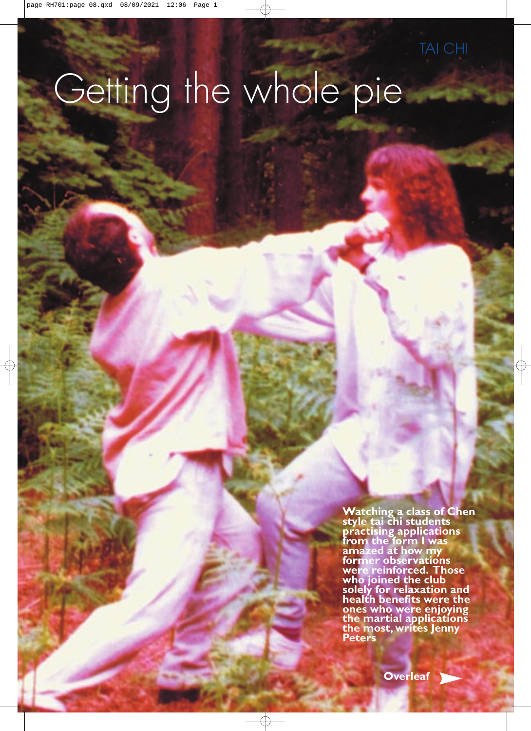

# Getting the whole pie

**Watching a class of Chen style tai chi students practising applications from the form I was amazed at how my former observations were reinforced. Those who joined the club solely for relaxation and health benefits were the ones who were enjoying the martial applications the most, writes Jenny Peters**

**[Overleaf](#page-1-0)** )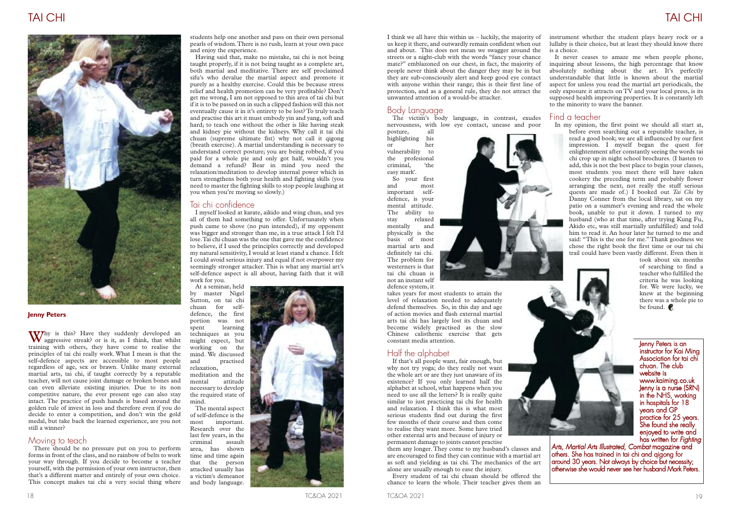Jenny Peters is an instructor for Kai Ming Association for tai chi chuan. The club website is www.kaiming.co.uk Jenny is a nurse (SRN) in the NHS, working in hospitals for 18 years and GP practice for 25 years. She found she really enjoyed to write and has written for *Fighting*

*Arts, Martial Arts Illustrated, Combat* magazine and others. She has trained in tai chi and qigong for around 30 years. Not always by choice but necessity; otherwise she would never see her husband Mark Peters.

posture, highlighting his or her vulnerability to the profesional<br>criminal, 'the criminal, easy mark'.

### Body Language

The victim's body language, in contrast, exudes nervousness, with low eye contact, unease and poor

If that's all people want, fair enough, but why not try yoga; do they really not want the whole art or are they just unaware of its existence? If you only learned half the alphabet at school, what happens when you need to use all the letters? It is really quite similar to just practicing tai chi for health and relaxation. I think this is what most serious students find out during the first few months of their course and then come to realise they want more. Some have tried other external arts and because of injury or permanent damage to joints cannot practise

So your first and most important selfdefence, is your mental attitude. The ability to stay relaxed mentally and physically is the basis of most martial arts and definitely tai chi. The problem for westerners is that tai chi chuan is not an instant self defence system, it

takes years for most students to attain the level of relaxation needed to adequately defend themselves. So, in this day and age of action movies and flash external martial arts tai chi has largely lost its chuan and become widely practised as the slow Chinese calisthenic exercise that gets constant media attention.

#### Half the alphabet



Every student of tai chi chuan should be offered the chance to learn the whole. Their teacher gives them an

students help one another and pass on their own personal pearls of wisdom.There is no rush, learn at your own pace and enjoy the experience.

Why is this? Have they suddenly developed an aggressive streak? or is it, as I think, that whilst training with others, they have come to realise the principles of tai chi really work. What I mean is that the self-defence aspects are accessible to most people regardless of age, sex or brawn. Unlike many external martial arts, tai chi, if taught correctly by a reputable teacher, will not cause joint damage or broken bones and can even alleviate existing injuries. Due to its non competitive nature, the ever present ego can also stay intact. The practice of push hands is based around the golden rule of invest in loss and therefore even if you do decide to enter a competition, and don't win the gold medal, but take back the learned experience, are you not still a winner?

Having said that, make no mistake, tai chi is not being taught properly, if it is not being taught as a complete art, both martial and meditative. There are self proclaimed sifu's who devalue the martial aspect and promote it purely as a healthy exercise. Could this be because stress relief and health promotion can be very profitable? Don't get me wrong, I am not opposed to this area of tai chi but if it is to be passed on in such a clipped fashion will this not eventually cause it in it's entirety to be lost? To truly teach and practise this art it must embody yin and yang, soft and hard; to teach one without the other is like having steak and kidney pie without the kidneys. Why call it tai chi chuan (supreme ultimate fist) why not call it qigong (breath exercise). A martial understanding is necessary to understand correct posture; you are being robbed, if you paid for a whole pie and only got half, wouldn't you demand a refund? Bear in mind you need the relaxation/meditation to develop internal power which in turn strengthens both your health and fighting skills (you need to master the fighting skills to stop people laughing at you when you're moving so slowly.)

I think we all have this within us – luckily, the majority of us keep it there, and outwardly remain confident when out and about. This does not mean we swagger around the streets or a night-club with the words "fancy your chance mate?" emblazoned on our chest, in fact, the majority of people never think about the danger they may be in but they are sub-consciously alert and keep good eye contact with anyone within their range; this is their first line of protection, and as a general rule, they do not attract the unwanted attention of a would-be attacker. instrument whether the student plays heavy rock or a lullaby is their choice, but at least they should know there is a choice. It never ceases to amaze me when people phone, inquiring about lessons, the high percentage that know absolutely nothing about the art. It's perfectly understandable that little is known about the martial aspect for unless you read the martial art periodicals, the only exposure it attracts on TV and your local press, is its supposed health improving properties. It is constantly left to the minority to wave the banner.

> took about six months of searching to find a teacher who fulfilled the criteria he was looking for. We were lucky, we knew at the beginning there was a whole pie to be found.

#### Tai chi confidence

I myself looked at karate, aikido and wing chun, and yes all of them had something to offer. Unfortunately when push came to shove (no pun intended), if my opponent was bigger and stronger than me, in a true attack I felt I'd lose.Tai chi chuan was the one that gave me the confidence to believe, if I used the principles correctly and developed my natural sensitivity,I would at least stand a chance.I felt I could avoid serious injury and equal if not overpower my seemingly stronger attacker.This is what any martial art's self-defence aspect is all about, having faith that it will work for you.

At a seminar, held by master Nigel Sutton, on tai chi chuan for selfdefence, the first portion was not spent learning techniques as you might expect, but working on the mind. We discussed and practised relaxation,

meditation and the mental attitude necessary to develop the required state of mind.

The mental aspect of self-defence is the most important. Research over the last few years, in the criminal assault area, has shown time and time again that the person attacked usually has a victim's demeanor and body language.



#### Moving to teach

There should be no pressure put on you to perform forms in front of the class, and no rainbow of belts to work your way through. If you decide to become a teacher yourself, with the permission of your own instructor, then that's a different matter and entirely of your own choice. This concept makes tai chi a very social thing where

<span id="page-1-0"></span>

#### **Jenny Peters**

#### Find a teacher

In my opinion, the first point we should all start at, before even searching out a reputable teacher, is read a good book; we are all influenced by our first impression. I myself began the quest for enlightenment after constantly seeing the words tai chi crop up in night school brochures. (I hasten to add, this is not the best place to begin your classes, most students you meet there will have taken cookery the preceding term and probably flower arranging the next, not really the stuff serious quests are made of.) I booked out *Tai Chi* by Danny Conner from the local library, sat on my patio on a summer's evening and read the whole book, unable to put it down. I turned to my husband (who at that time, after trying Kung Fu, Akido etc, was still martially unfulfilled) and told him to read it. An hour later he turned to me and said: "This is the one for me."Thank goodness we chose the right book the first time or our tai chi trail could have been vastly different. Even then it